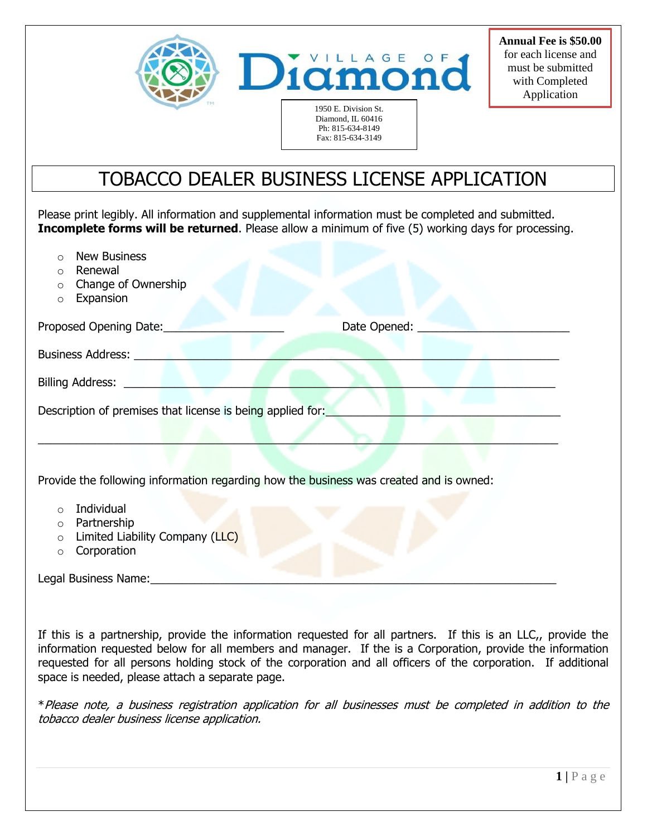

**Annual Fee is \$50.00** for each license and must be submitted with Completed Application

## TOBACCO DEALER BUSINESS LICENSE APPLICATION

Ph: 815-634-8149 Fax: 815-634-3149

Please print legibly. All information and supplemental information must be completed and submitted. **Incomplete forms will be returned**. Please allow a minimum of five (5) working days for processing.

- o New Business
- o Renewal
- o Change of Ownership
- o Expansion

| Proposed Opening Date:                                     | Date Opened: |
|------------------------------------------------------------|--------------|
| Business Address:                                          |              |
| <b>Billing Address:</b>                                    |              |
| Description of premises that license is being applied for: |              |

\_\_\_\_\_\_\_\_\_\_\_\_\_\_\_\_\_\_\_\_\_\_\_\_\_\_\_\_\_\_\_\_\_\_\_\_\_\_\_\_\_\_\_\_\_\_\_\_\_\_\_\_\_\_\_\_\_\_\_\_\_\_\_\_\_\_\_\_\_\_\_\_\_\_\_\_\_\_\_\_\_\_

Provide the following information regarding how the business was created and is owned:

- o Individual
- o Partnership
- $\circ$  Limited Liability Company (LLC)
- o Corporation

Legal Business Name:

If this is a partnership, provide the information requested for all partners. If this is an LLC,, provide the information requested below for all members and manager. If the is a Corporation, provide the information requested for all persons holding stock of the corporation and all officers of the corporation. If additional space is needed, please attach a separate page.

\*Please note, a business registration application for all businesses must be completed in addition to the tobacco dealer business license application.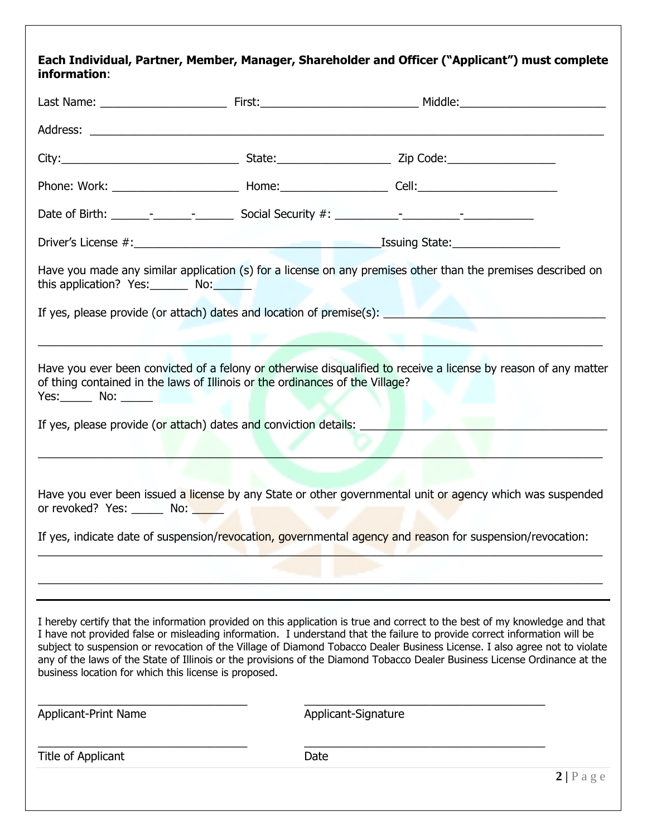## **Each Individual, Partner, Member, Manager, Shareholder and Officer ("Applicant") must complete information**:

| this application? Yes: No:                                       |                                                                                                                                                                | Have you made any similar application (s) for a license on any premises other than the premises described on                                                                                                                                                                                                                                                                                                                                                                                                         |
|------------------------------------------------------------------|----------------------------------------------------------------------------------------------------------------------------------------------------------------|----------------------------------------------------------------------------------------------------------------------------------------------------------------------------------------------------------------------------------------------------------------------------------------------------------------------------------------------------------------------------------------------------------------------------------------------------------------------------------------------------------------------|
|                                                                  |                                                                                                                                                                |                                                                                                                                                                                                                                                                                                                                                                                                                                                                                                                      |
| $Yes:$ No: $\_\_\_\$<br>or revoked? Yes: ______ No: <u>_____</u> | of thing contained in the laws of Illinois or the ordinances of the Village?<br>If yes, please provide (or attach) dates and conviction details:<br><b>COL</b> | Have you ever been convicted of a felony or otherwise disqualified to receive a license by reason of any matter<br>Have you ever been issued a license by any State or other governmental unit or agency which was suspended<br>If yes, indicate date of suspension/revocation, governmental agency and reason for suspension/revocation:                                                                                                                                                                            |
|                                                                  |                                                                                                                                                                |                                                                                                                                                                                                                                                                                                                                                                                                                                                                                                                      |
|                                                                  |                                                                                                                                                                |                                                                                                                                                                                                                                                                                                                                                                                                                                                                                                                      |
| business location for which this license is proposed.            |                                                                                                                                                                | I hereby certify that the information provided on this application is true and correct to the best of my knowledge and that<br>I have not provided false or misleading information. I understand that the failure to provide correct information will be<br>subject to suspension or revocation of the Village of Diamond Tobacco Dealer Business License. I also agree not to violate<br>any of the laws of the State of Illinois or the provisions of the Diamond Tobacco Dealer Business License Ordinance at the |
| <b>Applicant-Print Name</b>                                      |                                                                                                                                                                | Applicant-Signature                                                                                                                                                                                                                                                                                                                                                                                                                                                                                                  |
| Title of Applicant                                               | Date                                                                                                                                                           |                                                                                                                                                                                                                                                                                                                                                                                                                                                                                                                      |
|                                                                  |                                                                                                                                                                | 2 Page                                                                                                                                                                                                                                                                                                                                                                                                                                                                                                               |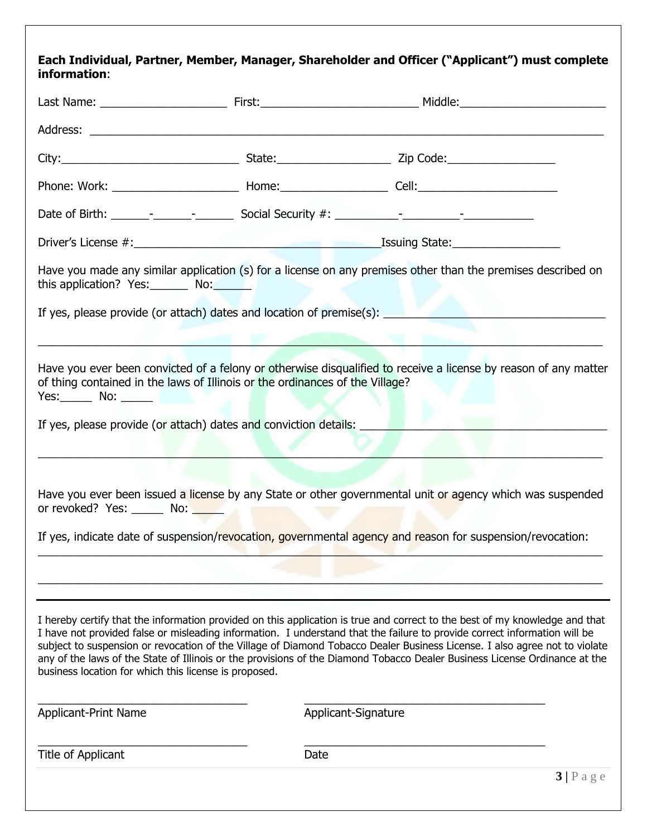## **Each Individual, Partner, Member, Manager, Shareholder and Officer ("Applicant") must complete information**:

| this application? Yes: No:                                                                                                                       |                 | Have you made any similar application (s) for a license on any premises other than the premises described on                                                                                                                                                                                                                                                                                                                                                                                                         |
|--------------------------------------------------------------------------------------------------------------------------------------------------|-----------------|----------------------------------------------------------------------------------------------------------------------------------------------------------------------------------------------------------------------------------------------------------------------------------------------------------------------------------------------------------------------------------------------------------------------------------------------------------------------------------------------------------------------|
|                                                                                                                                                  |                 |                                                                                                                                                                                                                                                                                                                                                                                                                                                                                                                      |
| of thing contained in the laws of Illinois or the ordinances of the Village?<br>If yes, please provide (or attach) dates and conviction details: |                 | Have you ever been convicted of a felony or otherwise disqualified to receive a license by reason of any matter                                                                                                                                                                                                                                                                                                                                                                                                      |
| or revoked? Yes: _______ No:                                                                                                                     | <b>ALC: UNK</b> | Have you ever been issued a license by any State or other governmental unit or agency which was suspended                                                                                                                                                                                                                                                                                                                                                                                                            |
|                                                                                                                                                  |                 | If yes, indicate date of suspension/revocation, governmental agency and reason for suspension/revocation:                                                                                                                                                                                                                                                                                                                                                                                                            |
|                                                                                                                                                  |                 |                                                                                                                                                                                                                                                                                                                                                                                                                                                                                                                      |
|                                                                                                                                                  |                 |                                                                                                                                                                                                                                                                                                                                                                                                                                                                                                                      |
| business location for which this license is proposed.                                                                                            |                 | I hereby certify that the information provided on this application is true and correct to the best of my knowledge and that<br>I have not provided false or misleading information. I understand that the failure to provide correct information will be<br>subject to suspension or revocation of the Village of Diamond Tobacco Dealer Business License. I also agree not to violate<br>any of the laws of the State of Illinois or the provisions of the Diamond Tobacco Dealer Business License Ordinance at the |
| Applicant-Print Name                                                                                                                             |                 | Applicant-Signature                                                                                                                                                                                                                                                                                                                                                                                                                                                                                                  |
| Title of Applicant                                                                                                                               | Date            |                                                                                                                                                                                                                                                                                                                                                                                                                                                                                                                      |
|                                                                                                                                                  |                 | 3 Page                                                                                                                                                                                                                                                                                                                                                                                                                                                                                                               |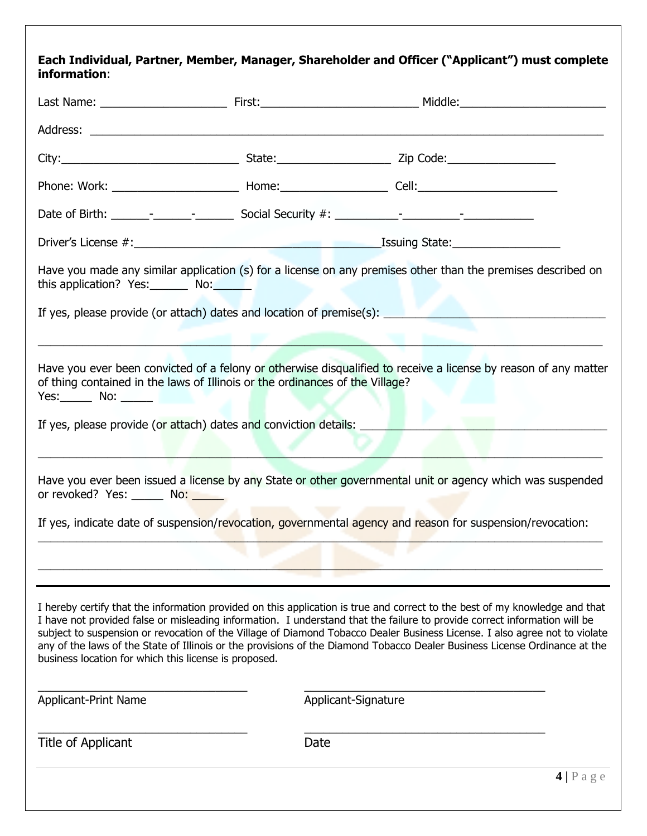## **Each Individual, Partner, Member, Manager, Shareholder and Officer ("Applicant") must complete information**:

| this application? Yes: No:                            |                                                                                                                                                  | Have you made any similar application (s) for a license on any premises other than the premises described on<br>If yes, please provide (or attach) dates and location of premise(s): _______________________________                                                                                                                                                                                                                                                                                                 |
|-------------------------------------------------------|--------------------------------------------------------------------------------------------------------------------------------------------------|----------------------------------------------------------------------------------------------------------------------------------------------------------------------------------------------------------------------------------------------------------------------------------------------------------------------------------------------------------------------------------------------------------------------------------------------------------------------------------------------------------------------|
| $Yes:$ No: $\_\_\_\$                                  | of thing contained in the laws of Illinois or the ordinances of the Village?<br>If yes, please provide (or attach) dates and conviction details: | Have you ever been convicted of a felony or otherwise disqualified to receive a license by reason of any matter                                                                                                                                                                                                                                                                                                                                                                                                      |
| or revoked? Yes: Mo:                                  |                                                                                                                                                  | Have you ever been issued a license by any State or other governmental unit or agency which was suspended<br>If yes, indicate date of suspension/revocation, governmental agency and reason for suspension/revocation:                                                                                                                                                                                                                                                                                               |
|                                                       |                                                                                                                                                  |                                                                                                                                                                                                                                                                                                                                                                                                                                                                                                                      |
| business location for which this license is proposed. |                                                                                                                                                  | I hereby certify that the information provided on this application is true and correct to the best of my knowledge and that<br>I have not provided false or misleading information. I understand that the failure to provide correct information will be<br>subject to suspension or revocation of the Village of Diamond Tobacco Dealer Business License. I also agree not to violate<br>any of the laws of the State of Illinois or the provisions of the Diamond Tobacco Dealer Business License Ordinance at the |
| Applicant-Print Name                                  |                                                                                                                                                  | Applicant-Signature                                                                                                                                                                                                                                                                                                                                                                                                                                                                                                  |
| Title of Applicant                                    | Date                                                                                                                                             |                                                                                                                                                                                                                                                                                                                                                                                                                                                                                                                      |
|                                                       |                                                                                                                                                  | $4 P \text{ age}$                                                                                                                                                                                                                                                                                                                                                                                                                                                                                                    |